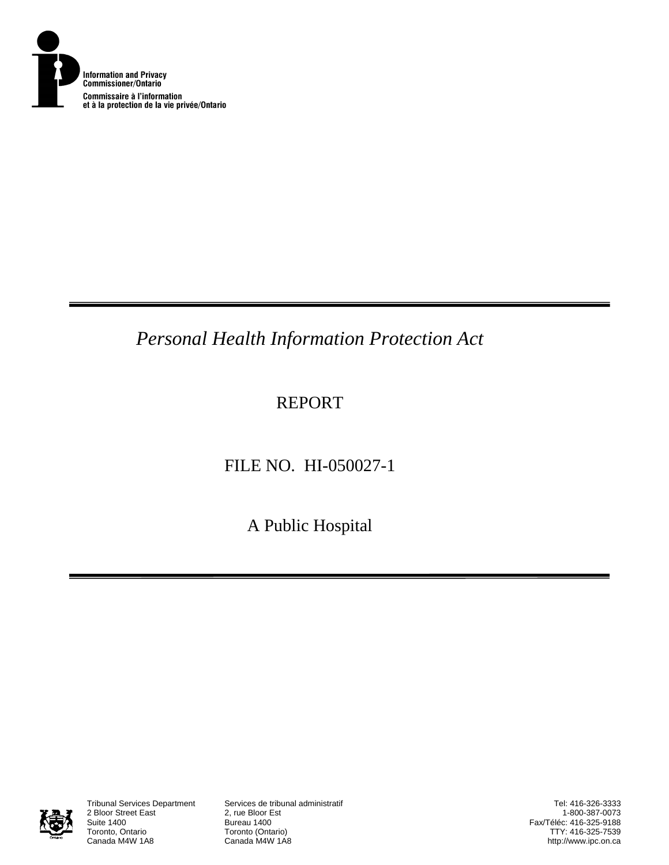

*Personal Health Information Protection Act* 

#### REPORT

## FILE NO. HI-050027-1

A Public Hospital



2 Bloor Street East<br>Suite 1400 Suite 1400<br>Toronto, Ontario **Bureau 1400**<br>Toronto (Onta Toronto, Ontario **Toronto (Ontario)**<br>Canada M4W 1A8 **Canada M4W 1A8** 

Tribunal Services Department Services de tribunal administratif

Tel: 416-326-3333 1-800-387-0073 Fax/Téléc: 416-325-9188 TTY: 416-325-7539 http://www.ipc.on.ca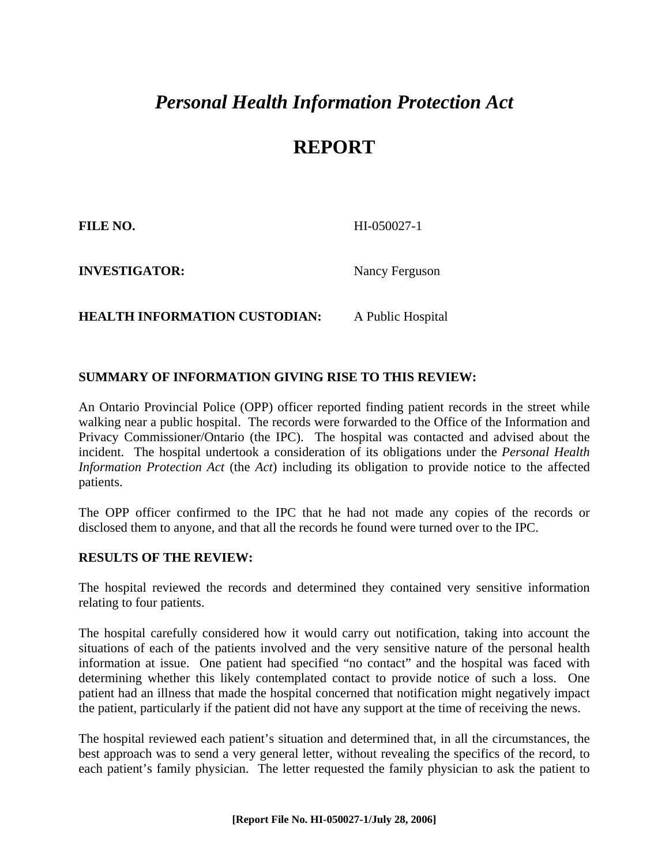# *Personal Health Information Protection Act*

## **REPORT**

**FILE NO.** HI-050027-1

**INVESTIGATOR:** Nancy Ferguson

**HEALTH INFORMATION CUSTODIAN:** A Public Hospital

#### **SUMMARY OF INFORMATION GIVING RISE TO THIS REVIEW:**

An Ontario Provincial Police (OPP) officer reported finding patient records in the street while walking near a public hospital. The records were forwarded to the Office of the Information and Privacy Commissioner/Ontario (the IPC). The hospital was contacted and advised about the incident. The hospital undertook a consideration of its obligations under the *[Personal Health](http://www.e-laws.gov.on.ca/DBLaws/Statutes/English/04p03_e.htm)  [Information Protection Act](http://www.e-laws.gov.on.ca/DBLaws/Statutes/English/04p03_e.htm)* (the *Act*) including its obligation to provide notice to the affected patients.

The OPP officer confirmed to the IPC that he had not made any copies of the records or disclosed them to anyone, and that all the records he found were turned over to the IPC.

#### **RESULTS OF THE REVIEW:**

The hospital reviewed the records and determined they contained very sensitive information relating to four patients.

The hospital carefully considered how it would carry out notification, taking into account the situations of each of the patients involved and the very sensitive nature of the personal health information at issue. One patient had specified "no contact" and the hospital was faced with determining whether this likely contemplated contact to provide notice of such a loss. One patient had an illness that made the hospital concerned that notification might negatively impact the patient, particularly if the patient did not have any support at the time of receiving the news.

The hospital reviewed each patient's situation and determined that, in all the circumstances, the best approach was to send a very general letter, without revealing the specifics of the record, to each patient's family physician. The letter requested the family physician to ask the patient to